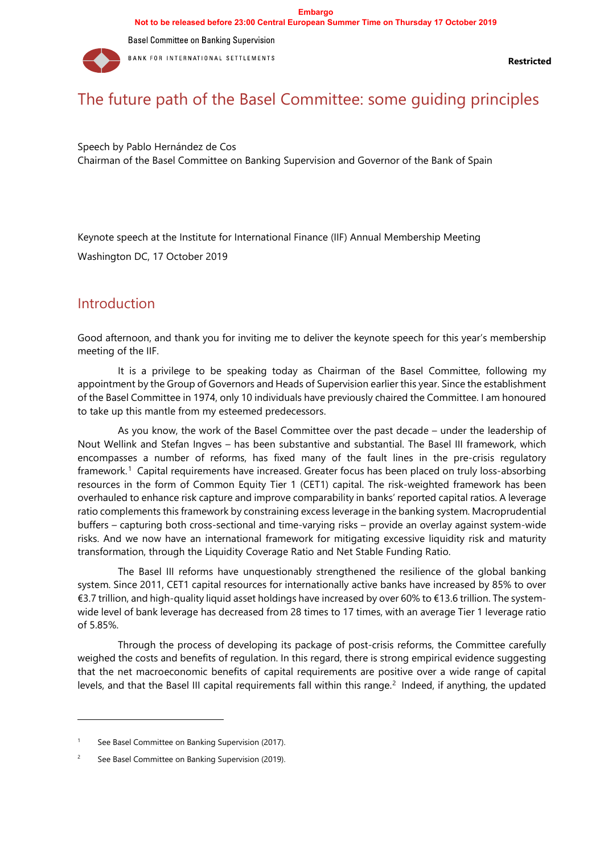

Speech by Pablo Hernández de Cos Chairman of the Basel Committee on Banking Supervision and Governor of the Bank of Spain

Keynote speech at the Institute for International Finance (IIF) Annual Membership Meeting

Washington DC, 17 October 2019

## **Introduction**

Good afternoon, and thank you for inviting me to deliver the keynote speech for this year's membership meeting of the IIF.

It is a privilege to be speaking today as Chairman of the Basel Committee, following my appointment by the Group of Governors and Heads of Supervision earlier this year. Since the establishment of the Basel Committee in 1974, only 10 individuals have previously chaired the Committee. I am honoured to take up this mantle from my esteemed predecessors.

As you know, the work of the Basel Committee over the past decade – under the leadership of Nout Wellink and Stefan Ingves – has been substantive and substantial. The Basel III framework, which encompasses a number of reforms, has fixed many of the fault lines in the pre-crisis regulatory framework.[1](#page-0-0) Capital requirements have increased. Greater focus has been placed on truly loss-absorbing resources in the form of Common Equity Tier 1 (CET1) capital. The risk-weighted framework has been overhauled to enhance risk capture and improve comparability in banks' reported capital ratios. A leverage ratio complements this framework by constraining excess leverage in the banking system. Macroprudential buffers – capturing both cross-sectional and time-varying risks – provide an overlay against system-wide risks. And we now have an international framework for mitigating excessive liquidity risk and maturity transformation, through the Liquidity Coverage Ratio and Net Stable Funding Ratio.

The Basel III reforms have unquestionably strengthened the resilience of the global banking system. Since 2011, CET1 capital resources for internationally active banks have increased by 85% to over €3.7 trillion, and high-quality liquid asset holdings have increased by over 60% to €13.6 trillion. The systemwide level of bank leverage has decreased from 28 times to 17 times, with an average Tier 1 leverage ratio of 5.85%.

Through the process of developing its package of post-crisis reforms, the Committee carefully weighed the costs and benefits of regulation. In this regard, there is strong empirical evidence suggesting that the net macroeconomic benefits of capital requirements are positive over a wide range of capital levels, and that the Basel III capital requirements fall within this range.<sup>[2](#page-0-1)</sup> Indeed, if anything, the updated

<span id="page-0-0"></span><sup>&</sup>lt;sup>1</sup> See Basel Committee on Banking Supervision (2017).

<span id="page-0-1"></span><sup>&</sup>lt;sup>2</sup> See Basel Committee on Banking Supervision (2019).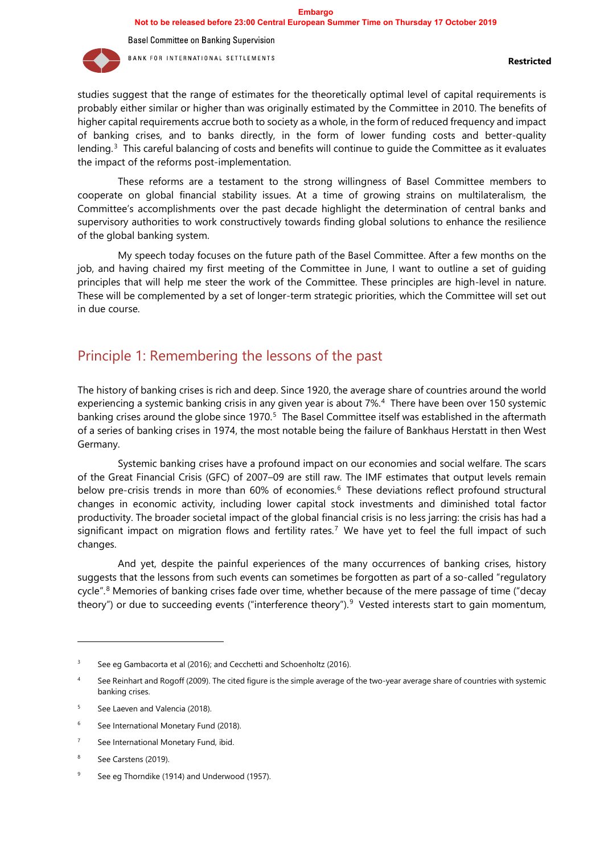

studies suggest that the range of estimates for the theoretically optimal level of capital requirements is probably either similar or higher than was originally estimated by the Committee in 2010. The benefits of higher capital requirements accrue both to society as a whole, in the form of reduced frequency and impact of banking crises, and to banks directly, in the form of lower funding costs and better-quality lending.[3](#page-1-0) This careful balancing of costs and benefits will continue to guide the Committee as it evaluates the impact of the reforms post-implementation.

These reforms are a testament to the strong willingness of Basel Committee members to cooperate on global financial stability issues. At a time of growing strains on multilateralism, the Committee's accomplishments over the past decade highlight the determination of central banks and supervisory authorities to work constructively towards finding global solutions to enhance the resilience of the global banking system.

My speech today focuses on the future path of the Basel Committee. After a few months on the job, and having chaired my first meeting of the Committee in June, I want to outline a set of guiding principles that will help me steer the work of the Committee. These principles are high-level in nature. These will be complemented by a set of longer-term strategic priorities, which the Committee will set out in due course.

## Principle 1: Remembering the lessons of the past

The history of banking crises is rich and deep. Since 1920, the average share of countries around the world experiencing a systemic banking crisis in any given year is about 7%.<sup>4</sup> There have been over 150 systemic banking crises around the globe since 1970.<sup>5</sup> The Basel Committee itself was established in the aftermath of a series of banking crises in 1974, the most notable being the failure of Bankhaus Herstatt in then West Germany.

Systemic banking crises have a profound impact on our economies and social welfare. The scars of the Great Financial Crisis (GFC) of 2007–09 are still raw. The IMF estimates that output levels remain below pre-crisis trends in more than [6](#page-1-3)0% of economies.<sup>6</sup> These deviations reflect profound structural changes in economic activity, including lower capital stock investments and diminished total factor productivity. The broader societal impact of the global financial crisis is no less jarring: the crisis has had a significant impact on migration flows and fertility rates.<sup>[7](#page-1-4)</sup> We have yet to feel the full impact of such changes.

And yet, despite the painful experiences of the many occurrences of banking crises, history suggests that the lessons from such events can sometimes be forgotten as part of a so-called "regulatory cycle".[8](#page-1-5) Memories of banking crises fade over time, whether because of the mere passage of time ("decay theory") or due to succeeding events ("interference theory").<sup>[9](#page-1-6)</sup> Vested interests start to gain momentum,

<span id="page-1-0"></span><sup>&</sup>lt;sup>3</sup> See eg Gambacorta et al (2016); and Cecchetti and Schoenholtz (2016).

<span id="page-1-1"></span>See Reinhart and Rogoff (2009). The cited figure is the simple average of the two-year average share of countries with systemic banking crises.

<span id="page-1-2"></span><sup>&</sup>lt;sup>5</sup> See Laeven and Valencia (2018).

<span id="page-1-3"></span><sup>&</sup>lt;sup>6</sup> See International Monetary Fund (2018).

<span id="page-1-4"></span><sup>&</sup>lt;sup>7</sup> See International Monetary Fund, ibid.

<span id="page-1-5"></span>See Carstens (2019).

<span id="page-1-6"></span><sup>&</sup>lt;sup>9</sup> See eg Thorndike (1914) and Underwood (1957).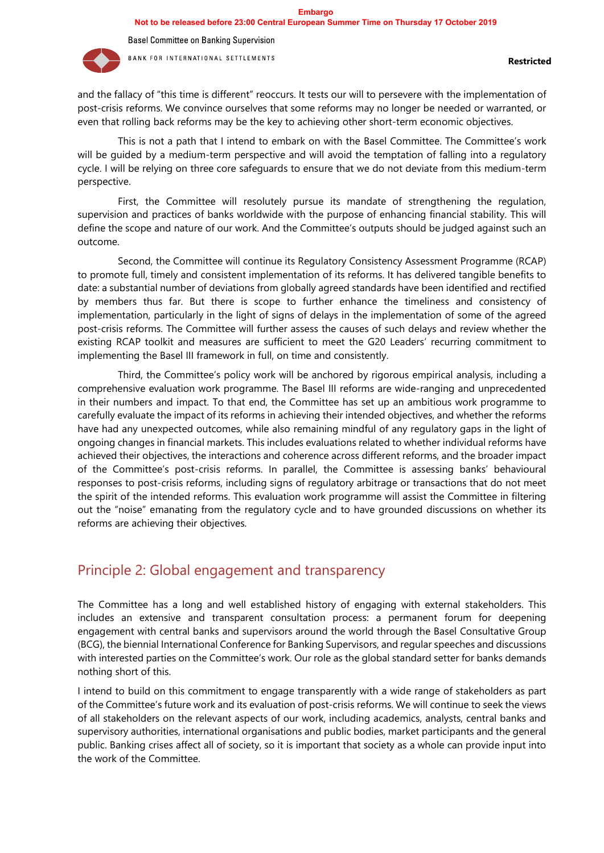

and the fallacy of "this time is different" reoccurs. It tests our will to persevere with the implementation of post-crisis reforms. We convince ourselves that some reforms may no longer be needed or warranted, or even that rolling back reforms may be the key to achieving other short-term economic objectives.

This is not a path that I intend to embark on with the Basel Committee. The Committee's work will be guided by a medium-term perspective and will avoid the temptation of falling into a regulatory cycle. I will be relying on three core safeguards to ensure that we do not deviate from this medium-term perspective.

First, the Committee will resolutely pursue its mandate of strengthening the regulation, supervision and practices of banks worldwide with the purpose of enhancing financial stability. This will define the scope and nature of our work. And the Committee's outputs should be judged against such an outcome.

Second, the Committee will continue its Regulatory Consistency Assessment Programme (RCAP) to promote full, timely and consistent implementation of its reforms. It has delivered tangible benefits to date: a substantial number of deviations from globally agreed standards have been identified and rectified by members thus far. But there is scope to further enhance the timeliness and consistency of implementation, particularly in the light of signs of delays in the implementation of some of the agreed post-crisis reforms. The Committee will further assess the causes of such delays and review whether the existing RCAP toolkit and measures are sufficient to meet the G20 Leaders' recurring commitment to implementing the Basel III framework in full, on time and consistently.

Third, the Committee's policy work will be anchored by rigorous empirical analysis, including a comprehensive evaluation work programme. The Basel III reforms are wide-ranging and unprecedented in their numbers and impact. To that end, the Committee has set up an ambitious work programme to carefully evaluate the impact of its reforms in achieving their intended objectives, and whether the reforms have had any unexpected outcomes, while also remaining mindful of any regulatory gaps in the light of ongoing changes in financial markets. This includes evaluations related to whether individual reforms have achieved their objectives, the interactions and coherence across different reforms, and the broader impact of the Committee's post-crisis reforms. In parallel, the Committee is assessing banks' behavioural responses to post-crisis reforms, including signs of regulatory arbitrage or transactions that do not meet the spirit of the intended reforms. This evaluation work programme will assist the Committee in filtering out the "noise" emanating from the regulatory cycle and to have grounded discussions on whether its reforms are achieving their objectives.

## Principle 2: Global engagement and transparency

The Committee has a long and well established history of engaging with external stakeholders. This includes an extensive and transparent consultation process: a permanent forum for deepening engagement with central banks and supervisors around the world through the Basel Consultative Group (BCG), the biennial International Conference for Banking Supervisors, and regular speeches and discussions with interested parties on the Committee's work. Our role as the global standard setter for banks demands nothing short of this.

I intend to build on this commitment to engage transparently with a wide range of stakeholders as part of the Committee's future work and its evaluation of post-crisis reforms. We will continue to seek the views of all stakeholders on the relevant aspects of our work, including academics, analysts, central banks and supervisory authorities, international organisations and public bodies, market participants and the general public. Banking crises affect all of society, so it is important that society as a whole can provide input into the work of the Committee.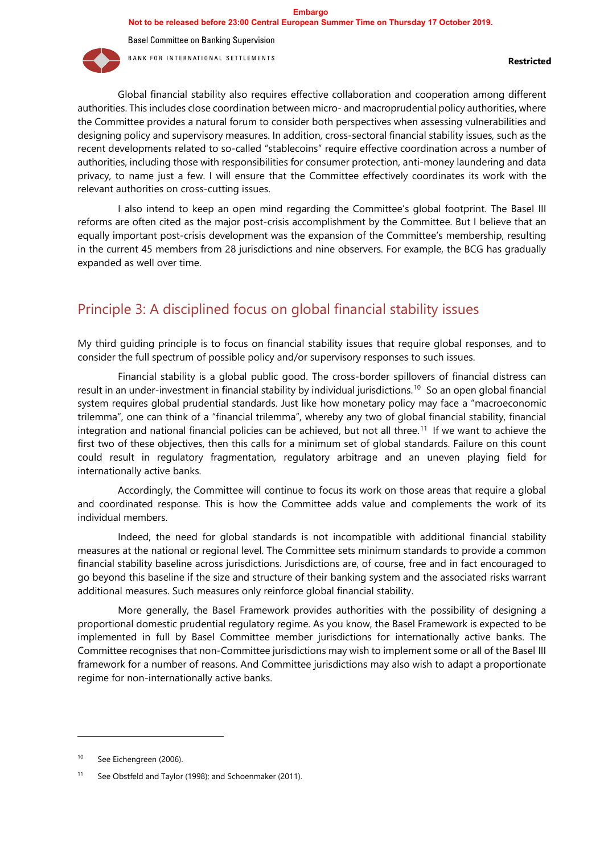**Basel Committee on Banking Supervision** 



BANK FOR INTERNATIONAL SETTLEMENTS

Global financial stability also requires effective collaboration and cooperation among different authorities. This includes close coordination between micro- and macroprudential policy authorities, where the Committee provides a natural forum to consider both perspectives when assessing vulnerabilities and designing policy and supervisory measures. In addition, cross-sectoral financial stability issues, such as the recent developments related to so-called "stablecoins" require effective coordination across a number of authorities, including those with responsibilities for consumer protection, anti-money laundering and data privacy, to name just a few. I will ensure that the Committee effectively coordinates its work with the relevant authorities on cross-cutting issues.

I also intend to keep an open mind regarding the Committee's global footprint. The Basel III reforms are often cited as the major post-crisis accomplishment by the Committee. But I believe that an equally important post-crisis development was the expansion of the Committee's membership, resulting in the current 45 members from 28 jurisdictions and nine observers. For example, the BCG has gradually expanded as well over time.

## Principle 3: A disciplined focus on global financial stability issues

My third guiding principle is to focus on financial stability issues that require global responses, and to consider the full spectrum of possible policy and/or supervisory responses to such issues.

Financial stability is a global public good. The cross-border spillovers of financial distress can result in an under-investment in financial stability by individual jurisdictions.<sup>10</sup> So an open global financial system requires global prudential standards. Just like how monetary policy may face a "macroeconomic trilemma", one can think of a "financial trilemma", whereby any two of global financial stability, financial integration and national financial policies can be achieved, but not all three.[11](#page-3-1) If we want to achieve the first two of these objectives, then this calls for a minimum set of global standards. Failure on this count could result in regulatory fragmentation, regulatory arbitrage and an uneven playing field for internationally active banks.

Accordingly, the Committee will continue to focus its work on those areas that require a global and coordinated response. This is how the Committee adds value and complements the work of its individual members.

Indeed, the need for global standards is not incompatible with additional financial stability measures at the national or regional level. The Committee sets minimum standards to provide a common financial stability baseline across jurisdictions. Jurisdictions are, of course, free and in fact encouraged to go beyond this baseline if the size and structure of their banking system and the associated risks warrant additional measures. Such measures only reinforce global financial stability.

More generally, the Basel Framework provides authorities with the possibility of designing a proportional domestic prudential regulatory regime. As you know, the Basel Framework is expected to be implemented in full by Basel Committee member jurisdictions for internationally active banks. The Committee recognises that non-Committee jurisdictions may wish to implement some or all of the Basel III framework for a number of reasons. And Committee jurisdictions may also wish to adapt a proportionate regime for non-internationally active banks.

<span id="page-3-0"></span><sup>10</sup> See Eichengreen (2006).

<span id="page-3-1"></span><sup>11</sup> See Obstfeld and Taylor (1998); and Schoenmaker (2011).